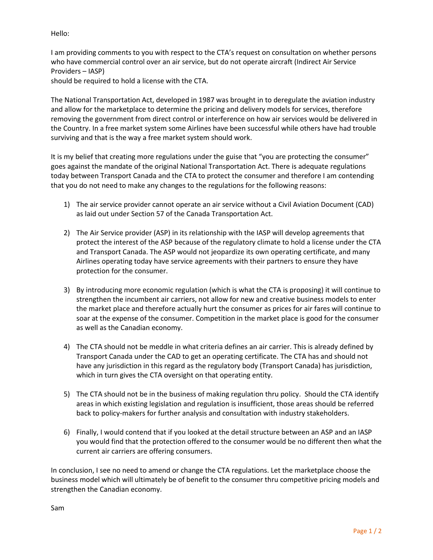Hello:

I am providing comments to you with respect to the CTA's request on consultation on whether persons who have commercial control over an air service, but do not operate aircraft (Indirect Air Service Providers – IASP)

should be required to hold a license with the CTA.

The National Transportation Act, developed in 1987 was brought in to deregulate the aviation industry and allow for the marketplace to determine the pricing and delivery models for services, therefore removing the government from direct control or interference on how air services would be delivered in the Country. In a free market system some Airlines have been successful while others have had trouble surviving and that is the way a free market system should work.

It is my belief that creating more regulations under the guise that "you are protecting the consumer" goes against the mandate of the original National Transportation Act. There is adequate regulations today between Transport Canada and the CTA to protect the consumer and therefore I am contending that you do not need to make any changes to the regulations for the following reasons:

- 1) The air service provider cannot operate an air service without a Civil Aviation Document (CAD) as laid out under Section 57 of the Canada Transportation Act.
- 2) The Air Service provider (ASP) in its relationship with the IASP will develop agreements that protect the interest of the ASP because of the regulatory climate to hold a license under the CTA and Transport Canada. The ASP would not jeopardize its own operating certificate, and many Airlines operating today have service agreements with their partners to ensure they have protection for the consumer.
- 3) By introducing more economic regulation (which is what the CTA is proposing) it will continue to strengthen the incumbent air carriers, not allow for new and creative business models to enter the market place and therefore actually hurt the consumer as prices for air fares will continue to soar at the expense of the consumer. Competition in the market place is good for the consumer as well as the Canadian economy.
- 4) The CTA should not be meddle in what criteria defines an air carrier. This is already defined by Transport Canada under the CAD to get an operating certificate. The CTA has and should not have any jurisdiction in this regard as the regulatory body (Transport Canada) has jurisdiction, which in turn gives the CTA oversight on that operating entity.
- 5) The CTA should not be in the business of making regulation thru policy. Should the CTA identify areas in which existing legislation and regulation is insufficient, those areas should be referred back to policy-makers for further analysis and consultation with industry stakeholders.
- 6) Finally, I would contend that if you looked at the detail structure between an ASP and an IASP you would find that the protection offered to the consumer would be no different then what the current air carriers are offering consumers.

In conclusion, I see no need to amend or change the CTA regulations. Let the marketplace choose the business model which will ultimately be of benefit to the consumer thru competitive pricing models and strengthen the Canadian economy.

Sam